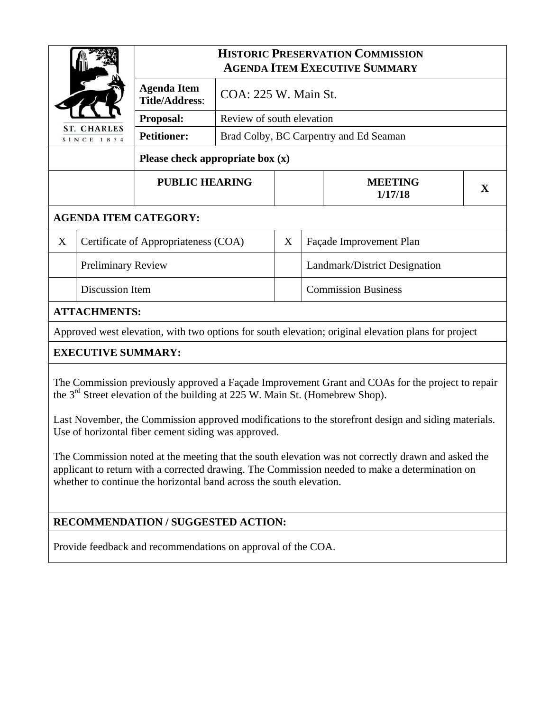|                                                                                                                                                                                              |                                      | <b>HISTORIC PRESERVATION COMMISSION</b><br><b>AGENDA ITEM EXECUTIVE SUMMARY</b> |                                        |   |                               |                           |   |
|----------------------------------------------------------------------------------------------------------------------------------------------------------------------------------------------|--------------------------------------|---------------------------------------------------------------------------------|----------------------------------------|---|-------------------------------|---------------------------|---|
| <b>ST. CHARLES</b><br>SINCE 1834                                                                                                                                                             |                                      | <b>Agenda Item</b><br><b>Title/Address:</b>                                     | COA: 225 W. Main St.                   |   |                               |                           |   |
|                                                                                                                                                                                              |                                      | Proposal:                                                                       | Review of south elevation              |   |                               |                           |   |
|                                                                                                                                                                                              |                                      | <b>Petitioner:</b>                                                              | Brad Colby, BC Carpentry and Ed Seaman |   |                               |                           |   |
| Please check appropriate box $(x)$                                                                                                                                                           |                                      |                                                                                 |                                        |   |                               |                           |   |
|                                                                                                                                                                                              |                                      | <b>PUBLIC HEARING</b>                                                           |                                        |   |                               | <b>MEETING</b><br>1/17/18 | X |
| <b>AGENDA ITEM CATEGORY:</b>                                                                                                                                                                 |                                      |                                                                                 |                                        |   |                               |                           |   |
| X                                                                                                                                                                                            | Certificate of Appropriateness (COA) |                                                                                 |                                        | X | Façade Improvement Plan       |                           |   |
|                                                                                                                                                                                              | <b>Preliminary Review</b>            |                                                                                 |                                        |   | Landmark/District Designation |                           |   |
|                                                                                                                                                                                              | Discussion Item                      |                                                                                 |                                        |   | <b>Commission Business</b>    |                           |   |
| <b>ATTACHMENTS:</b>                                                                                                                                                                          |                                      |                                                                                 |                                        |   |                               |                           |   |
| Approved west elevation, with two options for south elevation; original elevation plans for project                                                                                          |                                      |                                                                                 |                                        |   |                               |                           |   |
| <b>EXECUTIVE SUMMARY:</b>                                                                                                                                                                    |                                      |                                                                                 |                                        |   |                               |                           |   |
| The Commission previously approved a Façade Improvement Grant and COAs for the project to repair<br>the 3 <sup>rd</sup> Street elevation of the building at 225 W. Main St. (Homebrew Shop). |                                      |                                                                                 |                                        |   |                               |                           |   |

Last November, the Commission approved modifications to the storefront design and siding materials. Use of horizontal fiber cement siding was approved.

The Commission noted at the meeting that the south elevation was not correctly drawn and asked the applicant to return with a corrected drawing. The Commission needed to make a determination on whether to continue the horizontal band across the south elevation.

# **RECOMMENDATION / SUGGESTED ACTION:**

Provide feedback and recommendations on approval of the COA.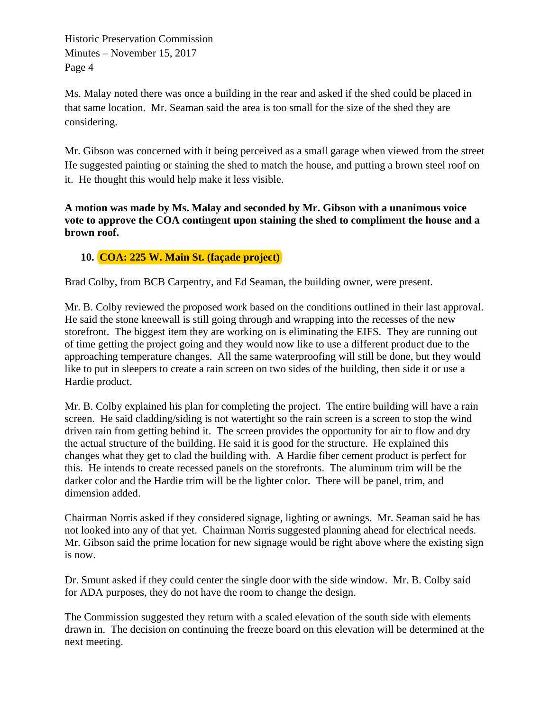Historic Preservation Commission Minutes – November 15, 2017 Page 4

Ms. Malay noted there was once a building in the rear and asked if the shed could be placed in that same location. Mr. Seaman said the area is too small for the size of the shed they are considering.

Mr. Gibson was concerned with it being perceived as a small garage when viewed from the street He suggested painting or staining the shed to match the house, and putting a brown steel roof on it. He thought this would help make it less visible.

**A motion was made by Ms. Malay and seconded by Mr. Gibson with a unanimous voice vote to approve the COA contingent upon staining the shed to compliment the house and a brown roof.** 

#### **10. COA: 225 W. Main St. (façade project)**

Brad Colby, from BCB Carpentry, and Ed Seaman, the building owner, were present.

Mr. B. Colby reviewed the proposed work based on the conditions outlined in their last approval. He said the stone kneewall is still going through and wrapping into the recesses of the new storefront. The biggest item they are working on is eliminating the EIFS. They are running out of time getting the project going and they would now like to use a different product due to the approaching temperature changes. All the same waterproofing will still be done, but they would like to put in sleepers to create a rain screen on two sides of the building, then side it or use a Hardie product.

Mr. B. Colby explained his plan for completing the project. The entire building will have a rain screen. He said cladding/siding is not watertight so the rain screen is a screen to stop the wind driven rain from getting behind it. The screen provides the opportunity for air to flow and dry the actual structure of the building. He said it is good for the structure. He explained this changes what they get to clad the building with. A Hardie fiber cement product is perfect for this. He intends to create recessed panels on the storefronts. The aluminum trim will be the darker color and the Hardie trim will be the lighter color. There will be panel, trim, and dimension added.

Chairman Norris asked if they considered signage, lighting or awnings. Mr. Seaman said he has not looked into any of that yet. Chairman Norris suggested planning ahead for electrical needs. Mr. Gibson said the prime location for new signage would be right above where the existing sign is now.

Dr. Smunt asked if they could center the single door with the side window. Mr. B. Colby said for ADA purposes, they do not have the room to change the design.

The Commission suggested they return with a scaled elevation of the south side with elements drawn in. The decision on continuing the freeze board on this elevation will be determined at the next meeting.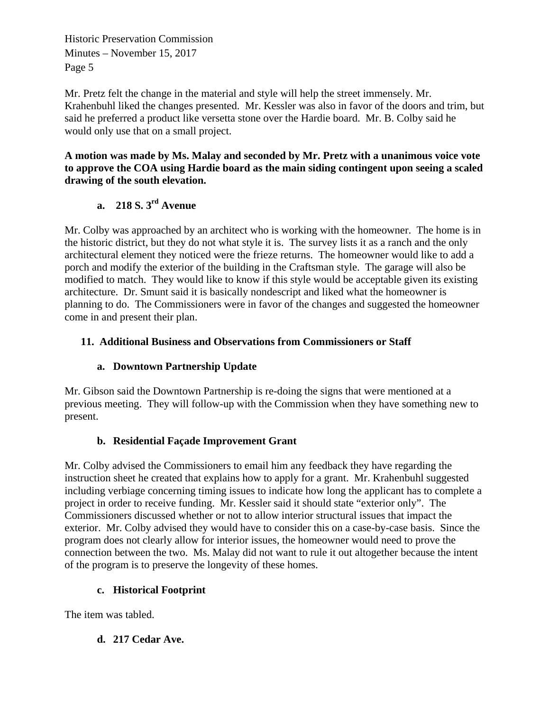Historic Preservation Commission Minutes – November 15, 2017 Page 5

Mr. Pretz felt the change in the material and style will help the street immensely. Mr. Krahenbuhl liked the changes presented. Mr. Kessler was also in favor of the doors and trim, but said he preferred a product like versetta stone over the Hardie board. Mr. B. Colby said he would only use that on a small project.

**A motion was made by Ms. Malay and seconded by Mr. Pretz with a unanimous voice vote to approve the COA using Hardie board as the main siding contingent upon seeing a scaled drawing of the south elevation.** 

# **a. 218 S. 3rd Avenue**

Mr. Colby was approached by an architect who is working with the homeowner. The home is in the historic district, but they do not what style it is. The survey lists it as a ranch and the only architectural element they noticed were the frieze returns. The homeowner would like to add a porch and modify the exterior of the building in the Craftsman style. The garage will also be modified to match. They would like to know if this style would be acceptable given its existing architecture. Dr. Smunt said it is basically nondescript and liked what the homeowner is planning to do. The Commissioners were in favor of the changes and suggested the homeowner come in and present their plan.

#### **11. Additional Business and Observations from Commissioners or Staff**

## **a. Downtown Partnership Update**

Mr. Gibson said the Downtown Partnership is re-doing the signs that were mentioned at a previous meeting. They will follow-up with the Commission when they have something new to present.

## **b. Residential Façade Improvement Grant**

Mr. Colby advised the Commissioners to email him any feedback they have regarding the instruction sheet he created that explains how to apply for a grant. Mr. Krahenbuhl suggested including verbiage concerning timing issues to indicate how long the applicant has to complete a project in order to receive funding. Mr. Kessler said it should state "exterior only". The Commissioners discussed whether or not to allow interior structural issues that impact the exterior. Mr. Colby advised they would have to consider this on a case-by-case basis. Since the program does not clearly allow for interior issues, the homeowner would need to prove the connection between the two. Ms. Malay did not want to rule it out altogether because the intent of the program is to preserve the longevity of these homes.

#### **c. Historical Footprint**

The item was tabled.

**d. 217 Cedar Ave.**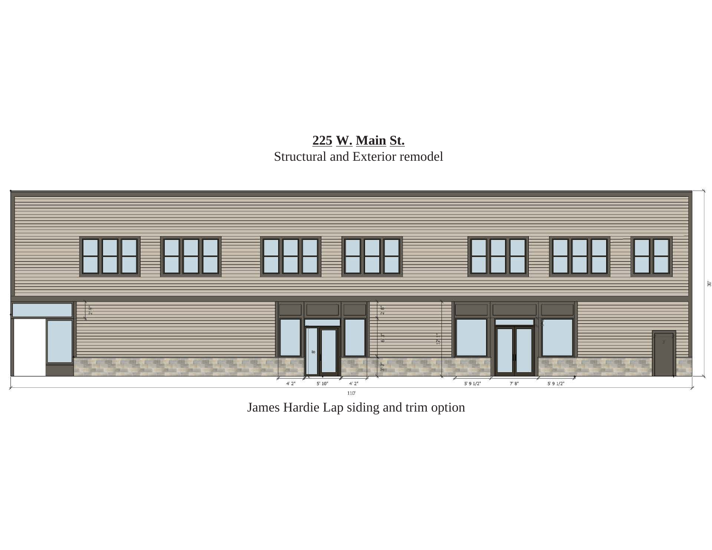225 W. Main St. Structural and Exterior remodel



James Hardie Lap siding and trim option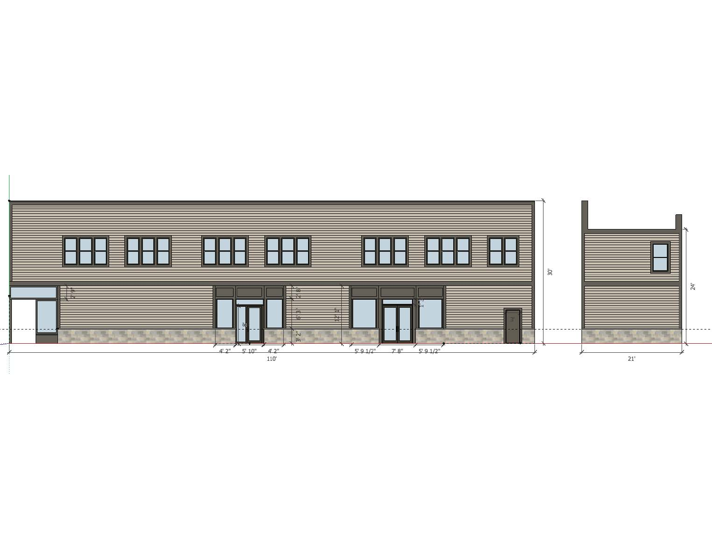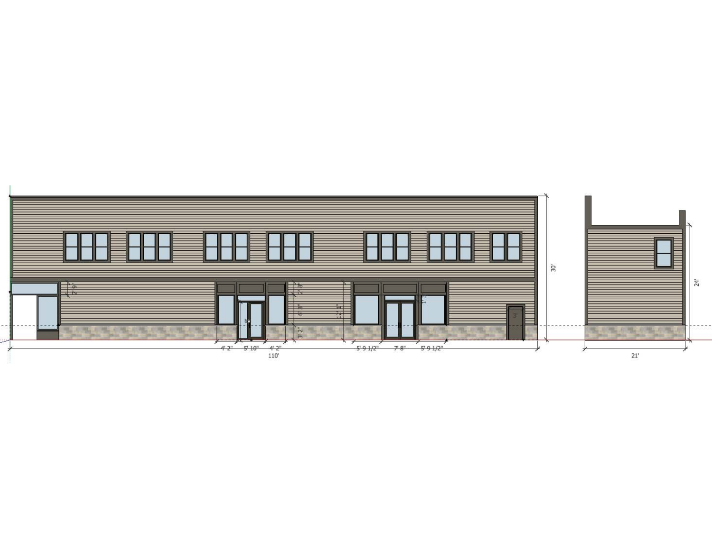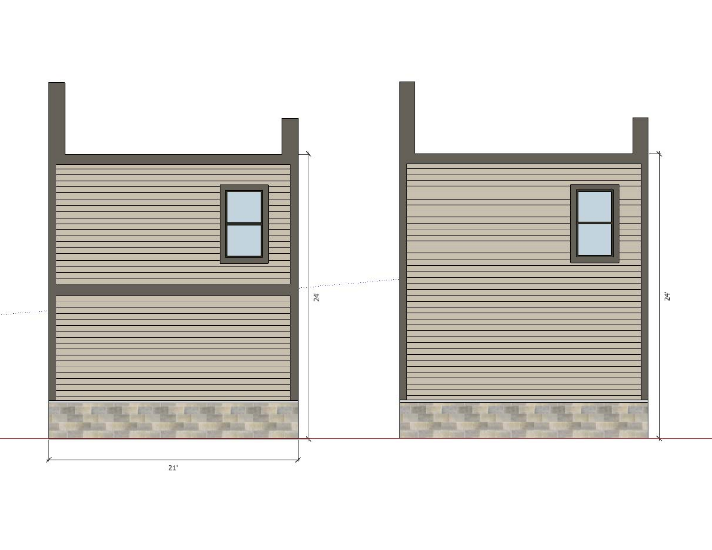